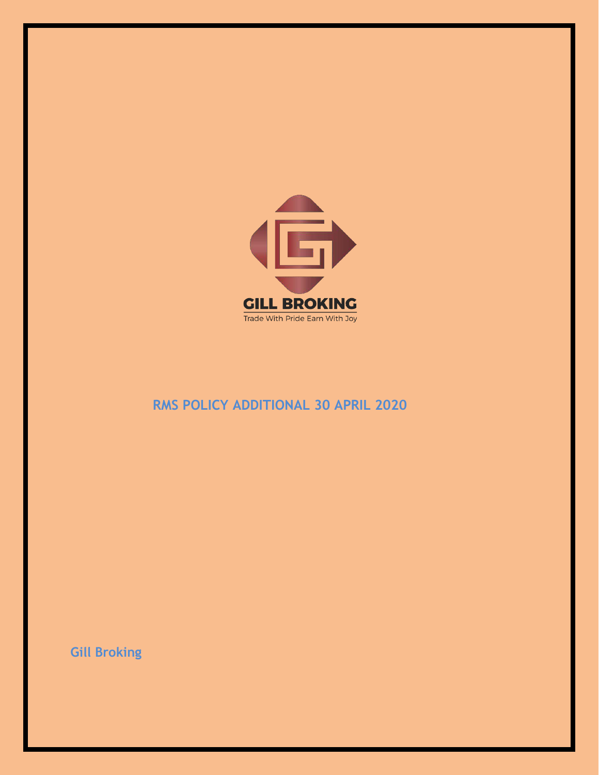

## RMS POLICY ADDITIONAL 30 APRIL 2020

**Gill Broking**